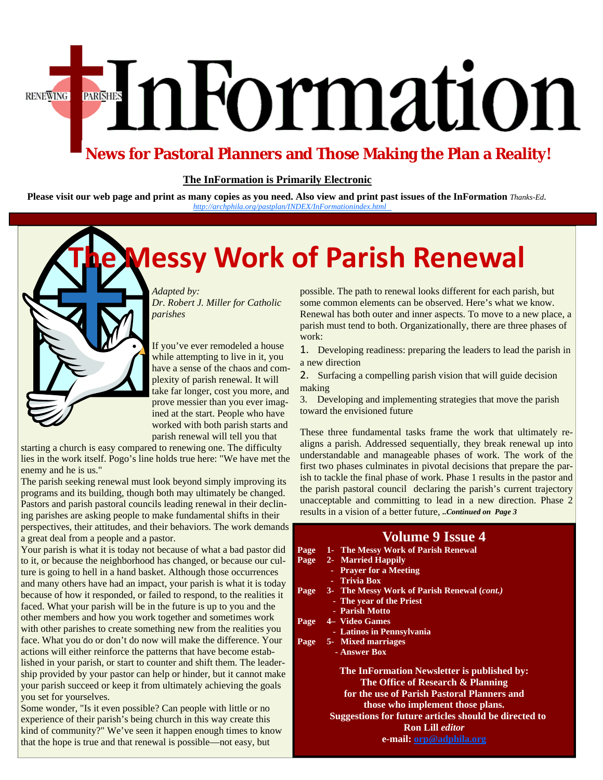# EnFormation **RENEWING**

#### **News for Pastoral Planners and Those Making the Plan a Reality!**

#### **The InFormation is Primarily Electronic**

**Please visit our web page and print as many copies as you need. Also view and print past issues of the InFormation** *Thanks-Ed.**[http://archphila.org/pastplan/](http://archphila.org/pastplan/INDEX/InFormationindex.html)INDEX/InFormationindex.html* 

## **The Messy Work of Parish Renewal**

*Adapted by: Dr. Robert J. Miller for Catholic parishes* 

If you've ever remodeled a house while attempting to live in it, you have a sense of the chaos and complexity of parish renewal. It will take far longer, cost you more, and prove messier than you ever imagined at the start. People who have worked with both parish starts and parish renewal will tell you that

starting a church is easy compared to renewing one. The difficulty lies in the work itself. Pogo's line holds true here: "We have met the enemy and he is us."

The parish seeking renewal must look beyond simply improving its programs and its building, though both may ultimately be changed. Pastors and parish pastoral councils leading renewal in their declining parishes are asking people to make fundamental shifts in their perspectives, their attitudes, and their behaviors. The work demands a great deal from a people and a pastor.

Your parish is what it is today not because of what a bad pastor of to it, or because the neighborhood has changed, or because our culture is going to hell in a hand basket. Although those occurrences and many others have had an impact, your parish is what it is too because of how it responded, or failed to respond, to the realities faced. What your parish will be in the future is up to you and the other members and how you work together and sometimes work with other parishes to create something new from the realities yo face. What you do or don't do now will make the difference. You actions will either reinforce the patterns that have become established in your parish, or start to counter and shift them. The leadship provided by your pastor can help or hinder, but it cannot ma your parish succeed or keep it from ultimately achieving the goal you set for yourselves.

Some wonder, "Is it even possible? Can people with little or no experience of their parish's being church in this way create this kind of community?" We've seen it happen enough times to know that the hope is true and that renewal is possible—not easy, but

possible. The path to renewal looks different for each parish, but some common elements can be observed. Here's what we know. Renewal has both outer and inner aspects. To move to a new place, a parish must tend to both. Organizationally, there are three phases of work:

1. Developing readiness: preparing the leaders to lead the parish in a new direction

2. Surfacing a compelling parish vision that will guide decision making

3. Developing and implementing strategies that move the parish toward the envisioned future

These three fundamental tasks frame the work that ultimately realigns a parish. Addressed sequentially, they break renewal up into understandable and manageable phases of work. The work of the first two phases culminates in pivotal decisions that prepare the parish to tackle the final phase of work. Phase 1 results in the pastor and the parish pastoral council declaring the parish's current trajectory unacceptable and committing to lead in a new direction. Phase 2 results in a vision of a better future, *..Continued on Page 3* 

| uus                  |      | <b>Volume 9 Issue 4</b>                                   |
|----------------------|------|-----------------------------------------------------------|
| did                  |      | Page 1- The Messy Work of Parish Renewal                  |
| ul-                  |      | Page 2- Married Happily                                   |
| 'S                   |      | - Prayer for a Meeting                                    |
| day                  |      | - Trivia Box                                              |
| s it                 |      | Page 3- The Messy Work of Parish Renewal ( <i>cont.</i> ) |
|                      |      | - The year of the Priest                                  |
| $\ddot{\phantom{0}}$ |      | - Parish Motto                                            |
|                      | Page | 4 Video Games                                             |
| эu                   |      | - Latinos in Pennsylvania                                 |
| ur                   |      | Page 5- Mixed marriages                                   |
|                      |      | - Answer Box                                              |
| er-<br>ake           |      | The InFormation Newsletter is published by:               |
| ıls                  |      | The Office of Research & Planning                         |
|                      |      | for the use of Parish Pastoral Planners and               |
|                      |      | those who implement those plans.                          |
|                      |      | Suggestions for future articles should be directed to     |
| w                    |      | <b>Ron Lill editor</b>                                    |
|                      |      | e-mail: orp@adphila.org                                   |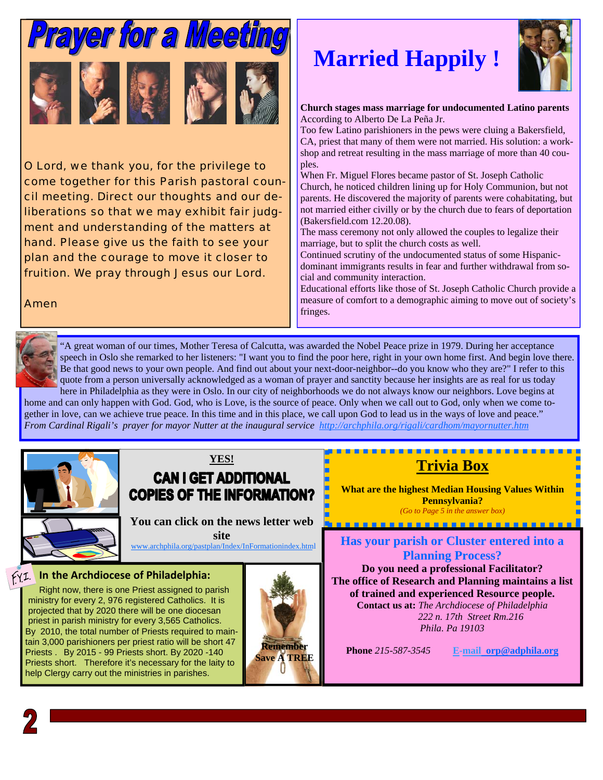

O Lord, we thank you, for the privilege to come together for this Parish pastoral council meeting. Direct our thoughts and our deliberations so that we may exhibit fair judgment and understanding of the matters at hand. Please give us the faith to see your plan and the courage to move it closer to fruition. We pray through Jesus our Lord.

Amen

## **Married Happily !**



**Church stages mass marriage for undocumented Latino parents**  According to Alberto De La Peña Jr.

Too few Latino parishioners in the pews were cluing a Bakersfield, CA, priest that many of them were not married. His solution: a workshop and retreat resulting in the mass marriage of more than 40 couples.

When Fr. Miguel Flores became pastor of St. Joseph Catholic Church, he noticed children lining up for Holy Communion, but not parents. He discovered the majority of parents were cohabitating, but not married either civilly or by the church due to fears of deportation (Bakersfield.com 12.20.08).

The mass ceremony not only allowed the couples to legalize their marriage, but to split the church costs as well.

Continued scrutiny of the undocumented status of some Hispanicdominant immigrants results in fear and further withdrawal from social and community interaction.

Educational efforts like those of St. Joseph Catholic Church provide a measure of comfort to a demographic aiming to move out of society's fringes.



"A great woman of our times, Mother Teresa of Calcutta, was awarded the Nobel Peace prize in 1979. During her acceptance speech in Oslo she remarked to her listeners: "I want you to find the poor here, right in your own home first. And begin love there. Be that good news to your own people. And find out about your next-door-neighbor--do you know who they are?" I refer to this quote from a person universally acknowledged as a woman of prayer and sanctity because her insights are as real for us today here in Philadelphia as they were in Oslo. In our city of neighborhoods we do not always know our neighbors. Love begins at

home and can only happen with God. God, who is Love, is the source of peace. Only when we call out to God, only when we come together in love, can we achieve true peace. In this time and in this place, we call upon God to lead us in the ways of love and peace." *From Cardinal Rigali's prayer for mayor Nutter at the inaugural service http://archphila.org/rigali/cardhom/mayornutter.htm*



#### **YES! CAN I GET ADDITIONAL**

**COPIES OF THE INFORMATION?** 

**You can click on the news letter web site** 

[www.archphila.org/pastplan/](http://archphila.org/pastplan/INDEX/InFormationindex.html)Index/InFormationindex.html

#### **In the Archdiocese of Philadelphia:**

Right now, there is one Priest assigned to parish ministry for every 2, 976 registered Catholics. It is projected that by 2020 there will be one diocesan priest in parish ministry for every 3,565 Catholics. By 2010, the total number of Priests required to maintain 3,000 parishioners per priest ratio will be short 47 Priests . By 2015 - 99 Priests short. By 2020 -140 Priests short. Therefore it's necessary for the laity to help Clergy carry out the ministries in parishes.



## **Trivia Box**

**What are the highest Median Housing Values Within Pennsylvania?** *(Go to Page 5 in the answer box)* 

. **. . . . . . . . . . . . . . . . . .** .

**Has your parish or Cluster entered into a Planning Process?** 

**Do you need a professional Facilitator? The office of Research and Planning maintains a list of trained and experienced Resource people. Contact us at:** *The Archdiocese of Philadelphia 222 n. 17th Street Rm.216 Phila. Pa 19103* 

**Phone** *215-587-3545* **E-mail orp@adphila.org****Remember**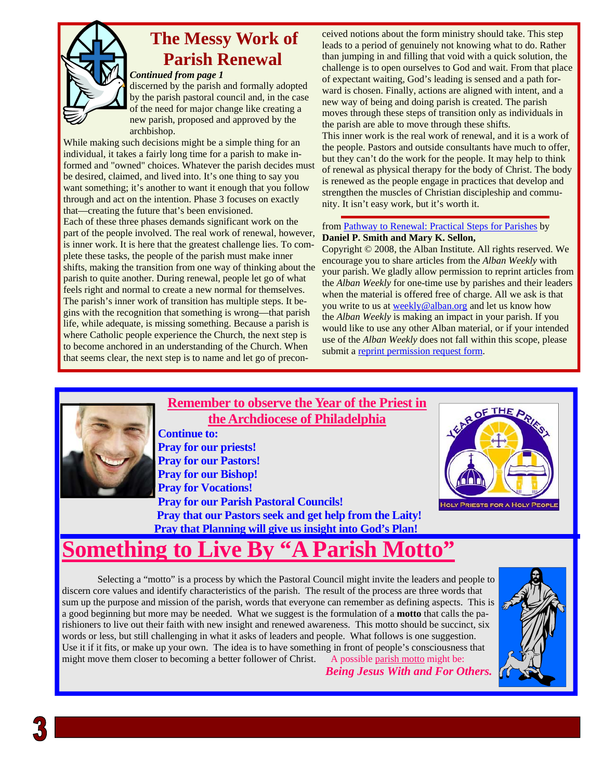

## **The Messy Work of Parish Renewal**

#### *Continued from page 1*

discerned by the parish and formally adopted by the parish pastoral council and, in the case of the need for major change like creating a new parish, proposed and approved by the archbishop.

While making such decisions might be a simple thing for an individual, it takes a fairly long time for a parish to make informed and "owned" choices. Whatever the parish decides must be desired, claimed, and lived into. It's one thing to say you want something; it's another to want it enough that you follow through and act on the intention. Phase 3 focuses on exactly that—creating the future that's been envisioned.

Each of these three phases demands significant work on the part of the people involved. The real work of renewal, however, is inner work. It is here that the greatest challenge lies. To complete these tasks, the people of the parish must make inner shifts, making the transition from one way of thinking about the parish to quite another. During renewal, people let go of what feels right and normal to create a new normal for themselves. The parish's inner work of transition has multiple steps. It begins with the recognition that something is wrong—that parish life, while adequate, is missing something. Because a parish is where Catholic people experience the Church, the next step is to become anchored in an understanding of the Church. When that seems clear, the next step is to name and let go of precon-

ceived notions about the form ministry should take. This step leads to a period of genuinely not knowing what to do. Rather than jumping in and filling that void with a quick solution, the challenge is to open ourselves to God and wait. From that place of expectant waiting, God's leading is sensed and a path forward is chosen. Finally, actions are aligned with intent, and a new way of being and doing parish is created. The parish moves through these steps of transition only as individuals in the parish are able to move through these shifts.

This inner work is the real work of renewal, and it is a work of the people. Pastors and outside consultants have much to offer, but they can't do the work for the people. It may help to think of renewal as physical therapy for the body of Christ. The body is renewed as the people engage in practices that develop and strengthen the muscles of Christian discipleship and community. It isn't easy work, but it's worth it.

#### from Pathway to Renewal: Practical Steps for Parishes by **Daniel P. Smith and Mary K. Sellon,**

Copyright © 2008, the Alban Institute. All rights reserved. We encourage you to share articles from the *Alban Weekly* with your parish. We gladly allow permission to reprint articles from the *Alban Weekly* for one-time use by parishes and their leaders when the material is offered free of charge. All we ask is that you write to us at weekly@alban.org and let us know how the *Alban Weekly* is making an impact in your parish. If you would like to use any other Alban material, or if your intended use of the *Alban Weekly* does not fall within this scope, please submit a reprint permission request form.



**Remember to observe the Year of the Priest in the Archdiocese of Philadelphia**

**Continue to: Pray for our priests! Pray for our Pastors! Pray for our Bishop! Pray for Vocations! Pray for our Parish Pastoral Councils! Pray that our Pastors seek and get help from the Laity! Pray that Planning will give us insight into God's Plan!** 



## **Something to**

 Selecting a "motto" is a process by which the Pastoral Council might invite the leaders and people to discern core values and identify characteristics of the parish. The result of the process are three words that sum up the purpose and mission of the parish, words that everyone can remember as defining aspects. This is a good beginning but more may be needed. What we suggest is the formulation of a **motto** that calls the parishioners to live out their faith with new insight and renewed awareness. This motto should be succinct, six words or less, but still challenging in what it asks of leaders and people. What follows is one suggestion. Use it if it fits, or make up your own. The idea is to have something in front of people's consciousness that might move them closer to becoming a better follower of Christ. A possible parish motto might be:

*Being Jesus With and For Others.* 

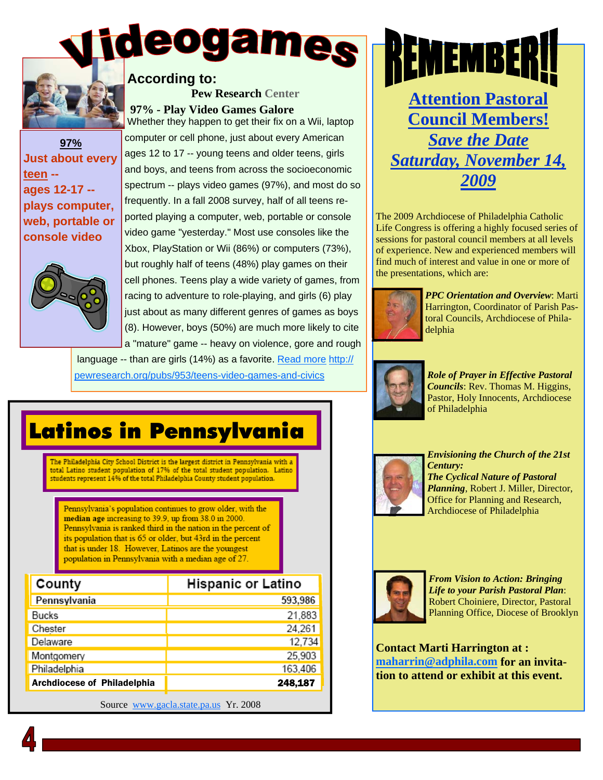

**According to:** 

#### **97% Just about every teen - ages 12-17 - plays computer, web, portable or console video**



 **97% - Play Video Games Galore**  Whether they happen to get their fix on a Wii, laptop computer or cell phone, just about every American ages 12 to 17 -- young teens and older teens, girls and boys, and teens from across the socioeconomic spectrum -- plays video games (97%), and most do so frequently. In a fall 2008 survey, half of all teens reported playing a computer, web, portable or console video game "yesterday." Most use consoles like the Xbox, PlayStation or Wii (86%) or computers (73%), but roughly half of teens (48%) play games on their cell phones. Teens play a wide variety of games, from racing to adventure to role-playing, and girls (6) play just about as many different genres of games as boys (8). However, boys (50%) are much more likely to cite a "mature" game -- heavy on violence, gore and rough

**Pew Research Center**

 language -- than are girls (14%) as a favorite. Read more http:// pewresearch.org/pubs/953/teens-video-games-and-civics



The 2009 Archdiocese of Philadelphia Catholic Life Congress is offering a highly focused series of sessions for pastoral council members at all levels of experience. New and experienced members will find much of interest and value in one or more of the presentations, which are:



*PPC Orientation and Overview*: Marti Harrington, Coordinator of Parish Pastoral Councils, Archdiocese of Philadelphia



*Role of Prayer in Effective Pastoral Councils*: Rev. Thomas M. Higgins, Pastor, Holy Innocents, Archdiocese of Philadelphia



*Envisioning the Church of the 21st Century: The Cyclical Nature of Pastoral Planning*, Robert J. Miller, Director, Office for Planning and Research, Archdiocese of Philadelphia



*From Vision to Action: Bringing Life to your Parish Pastoral Plan*: Robert Choiniere, Director, Pastoral Planning Office, Diocese of Brooklyn

**Contact Marti Harrington at : maharrin@adphila.com for an invitation to attend or exhibit at this event.** 

## Latinos in Pennsylvania

The Philadelphia City School District is the largest district in Pennsylvania with a total Latino student population of 17% of the total student population. Latino students represent 14% of the total Philadelphia County student population.

Pennsylvania's population continues to grow older, with the median age increasing to 39.9, up from 38.0 in 2000. Pennsylvania is ranked third in the nation in the percent of its population that is 65 or older, but 43rd in the percent that is under 18. However, Latinos are the youngest population in Pennsylvania with a median age of 27.

| County                             | <b>Hispanic or Latino</b> |
|------------------------------------|---------------------------|
| Pennsylvania                       | 593,986                   |
| Bucks                              | 21,883                    |
| Chester                            | 24,261                    |
| Delaware                           | 12,734                    |
| Montgomery                         | 25,903                    |
| Philadelphia                       | 163,406                   |
| <b>Archdiocese of Philadelphia</b> | 248,187                   |

Source www.gacla.state.pa.us Yr. 2008